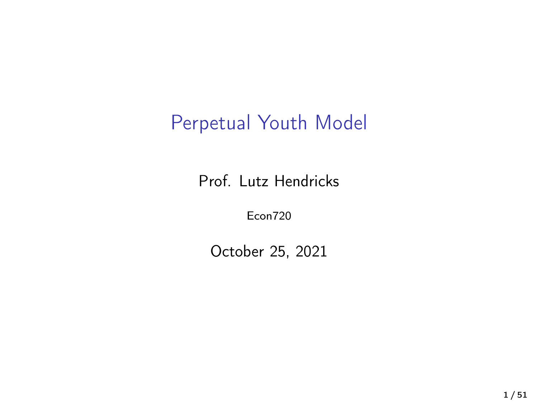# Perpetual Youth Model

Prof. Lutz Hendricks

Econ720

October 25, 2021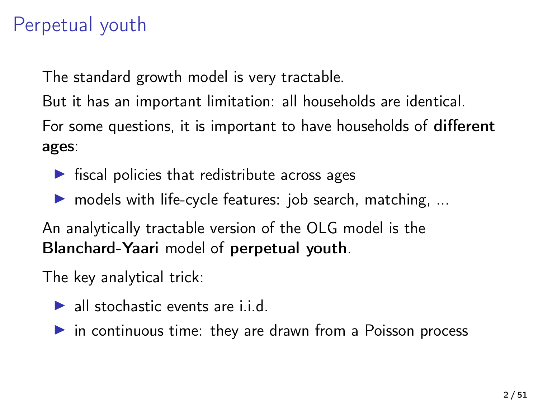# Perpetual youth

The standard growth model is very tractable.

But it has an important limitation: all households are identical.

For some questions, it is important to have households of different ages:

- $\triangleright$  fiscal policies that redistribute across ages
- $\triangleright$  models with life-cycle features: job search, matching, ...

An analytically tractable version of the OLG model is the Blanchard-Yaari model of perpetual youth.

The key analytical trick:

- $\blacktriangleright$  all stochastic events are i.i.d.
- $\triangleright$  in continuous time: they are drawn from a Poisson process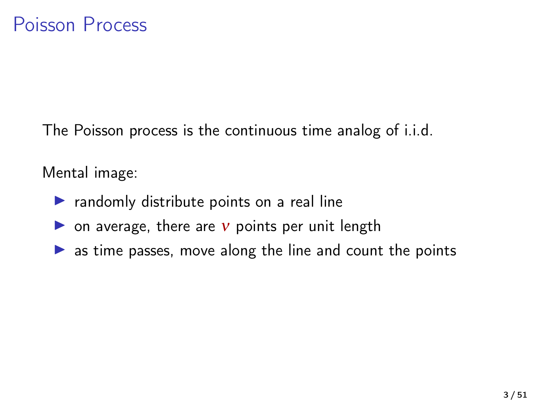The Poisson process is the continuous time analog of i.i.d.

Mental image:

- $\triangleright$  randomly distribute points on a real line
- ightharpoon average, there are  $v$  points per unit length
- $\triangleright$  as time passes, move along the line and count the points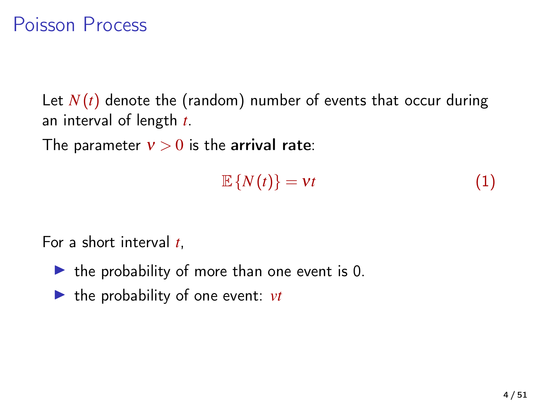#### Poisson Process

Let  $N(t)$  denote the (random) number of events that occur during an interval of length *t*.

The parameter  $v > 0$  is the arrival rate:

$$
\mathbb{E}\left\{N(t)\right\} = vt \tag{1}
$$

For a short interval *t*,

- $\blacktriangleright$  the probability of more than one event is 0.
- $\blacktriangleright$  the probability of one event: *vt*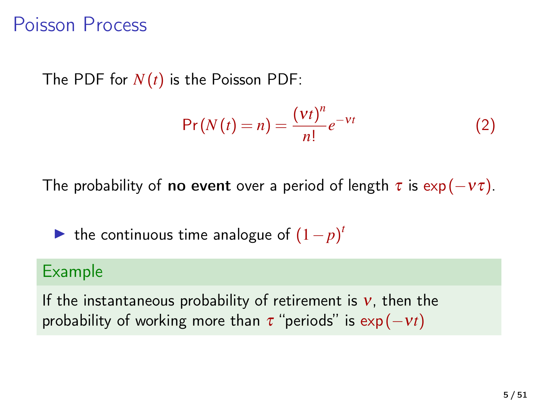#### Poisson Process

The PDF for  $N(t)$  is the Poisson PDF:

$$
\Pr(N(t) = n) = \frac{(vt)^n}{n!}e^{-vt} \tag{2}
$$

The probability of **no event** over a period of length  $\tau$  is exp ( $-v\tau$ ).

► the continuous time analogue of  $(1-p)^t$ 

#### Example

If the instantaneous probability of retirement is  $v$ , then the probability of working more than  $\tau$  "periods" is  $\exp(-vt)$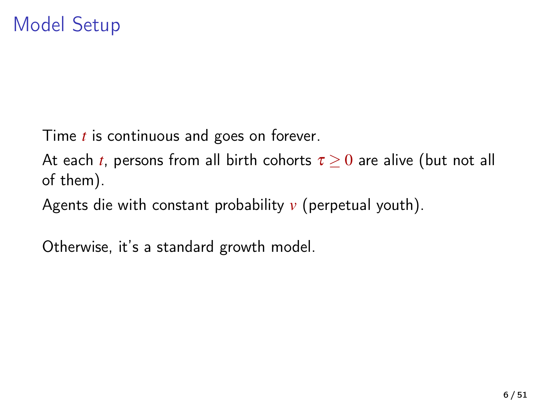Time *t* is continuous and goes on forever.

At each *t*, persons from all birth cohorts  $\tau > 0$  are alive (but not all of them).

Agents die with constant probability *v* (perpetual youth).

Otherwise, it's a standard growth model.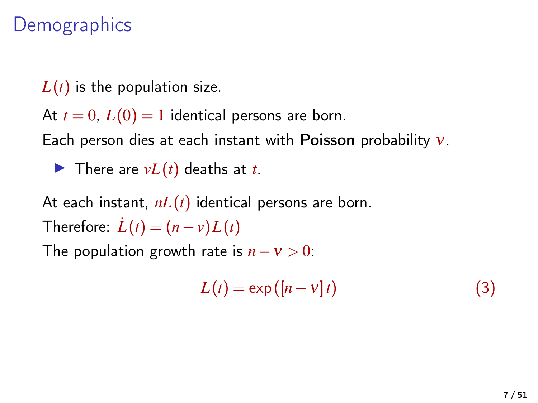## **Demographics**

 $L(t)$  is the population size.

At  $t = 0$ ,  $L(0) = 1$  identical persons are born.

Each person dies at each instant with **Poisson** probability  $v$ .

 $\blacktriangleright$  There are  $vL(t)$  deaths at *t*.

At each instant, *nL*(*t*) identical persons are born.

Therefore:  $\dot{L}(t) = (n - v)L(t)$ 

The population growth rate is  $n - v > 0$ :

$$
L(t) = \exp([n - v]t)
$$
 (3)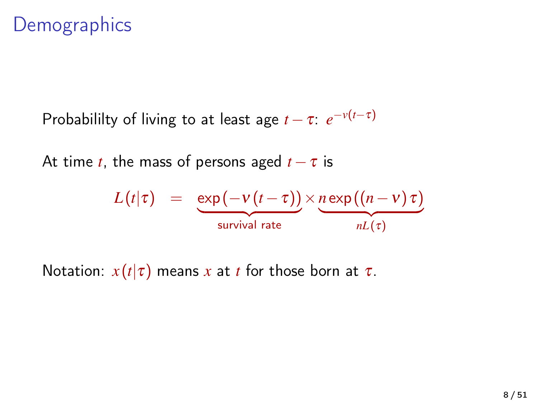### **Demographics**

Probabililty of living to at least age  $t - \tau$ :  $e^{-\nu(t-\tau)}$ 

At time *t*, the mass of persons aged  $t - \tau$  is

$$
L(t|\tau) = \underbrace{\exp(-v(t-\tau))}_{\text{survival rate}} \times \underbrace{n \exp((n-v)\tau)}_{nL(\tau)}
$$

Notation:  $x(t|\tau)$  means x at t for those born at  $\tau$ .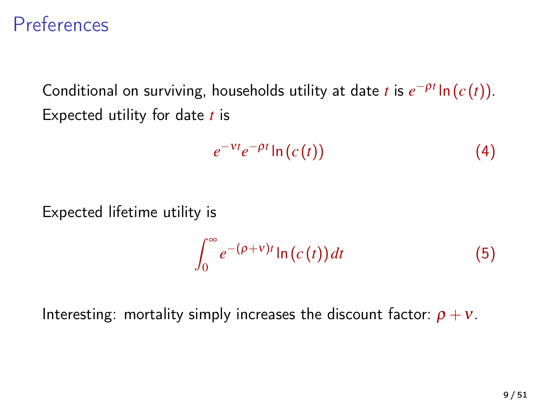### **Preferences**

Conditional on surviving, households utility at date *t* is  $e^{-\rho t} \ln(c(t))$ . Expected utility for date *t* is

$$
e^{-\nu t}e^{-\rho t}\ln\left(c\left(t\right)\right) \tag{4}
$$

Expected lifetime utility is

$$
\int_0^\infty e^{-(\rho+v)t} \ln(c(t)) dt
$$
 (5)

Interesting: mortality simply increases the discount factor:  $\rho + v$ .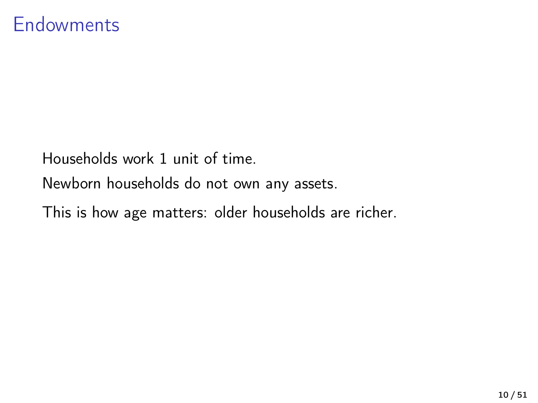Households work 1 unit of time.

Newborn households do not own any assets.

This is how age matters: older households are richer.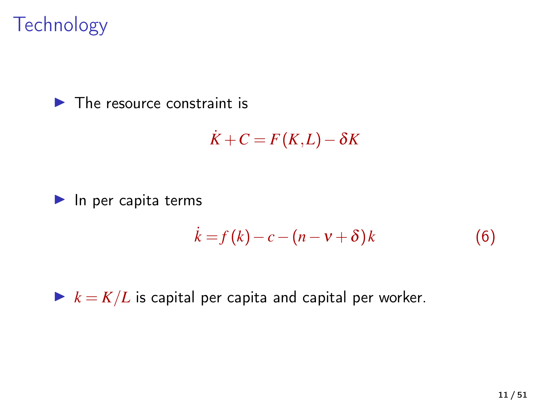# **Technology**

#### $\blacktriangleright$  The resource constraint is

$$
\dot{K}+C=F(K,L)-\delta K
$$

#### $\blacktriangleright$  In per capita terms

$$
\dot{k} = f(k) - c - (n - v + \delta)k \tag{6}
$$

 $\blacktriangleright k = K/L$  is capital per capita and capital per worker.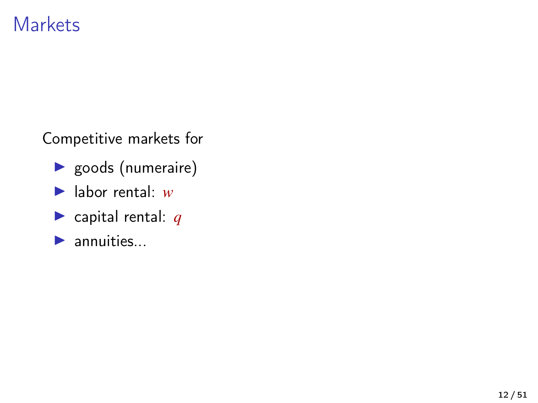#### **Markets**

Competitive markets for

- $\blacktriangleright$  goods (numeraire)
- $\blacktriangleright$  labor rental:  $w$
- $\blacktriangleright$  capital rental: *q*
- $\blacktriangleright$  annuities...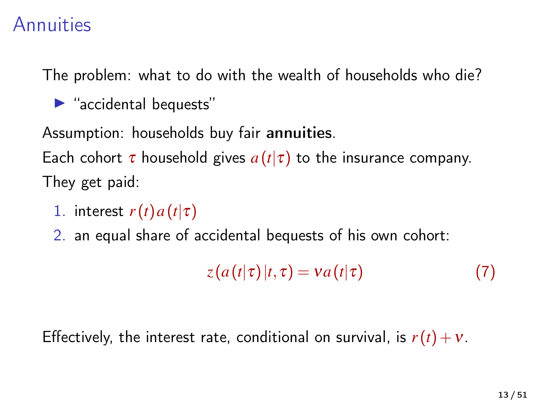#### Annuities

The problem: what to do with the wealth of households who die?

 $\blacktriangleright$  "accidental bequests"

Assumption: households buy fair annuities.

Each cohort  $\tau$  household gives  $a(t|\tau)$  to the insurance company. They get paid:

- 1. interest  $r(t) a(t|\tau)$
- 2. an equal share of accidental bequests of his own cohort:

$$
z(a(t|\tau)|t,\tau) = va(t|\tau)
$$
 (7)

Effectively, the interest rate, conditional on survival, is  $r(t) + v$ .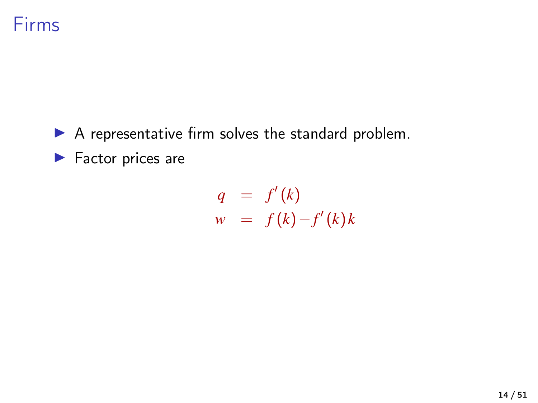

 $\blacktriangleright$  A representative firm solves the standard problem.

 $\blacktriangleright$  Factor prices are

$$
q = f'(k)
$$
  

$$
w = f(k) - f'(k)k
$$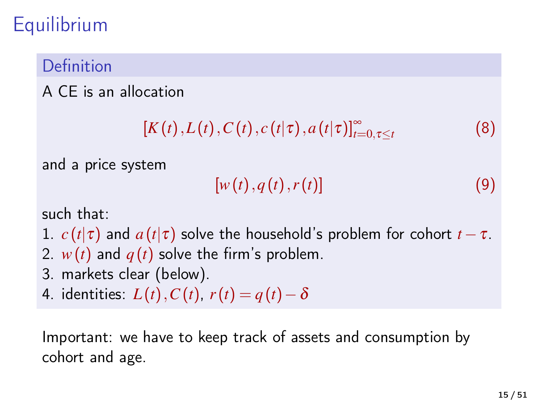# **Equilibrium**

#### Definition

#### A CE is an allocation

$$
[K(t),L(t),C(t),c(t|\tau),a(t|\tau)]_{t=0,\tau\leq t}^{\infty} \qquad (8)
$$

and a price system

$$
[w(t), q(t), r(t)] \tag{9}
$$

such that:

- 1.  $c(t|\tau)$  and  $a(t|\tau)$  solve the household's problem for cohort  $t-\tau$ . 2.  $w(t)$  and  $q(t)$  solve the firm's problem.
- 3. markets clear (below).
- 4. identities:  $L(t)$ ,  $C(t)$ ,  $r(t) = q(t) \delta$

Important: we have to keep track of assets and consumption by cohort and age.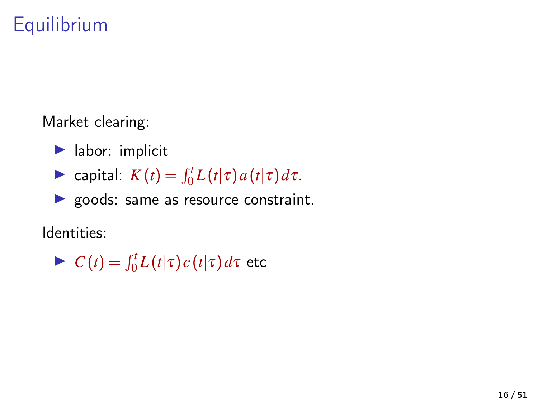# Equilibrium

Market clearing:

- $\blacktriangleright$  labor: implicit
- $\blacktriangleright$  capital: *K*(*t*) =  $\int_0^t L(t|\tau) a(t|\tau) d\tau$ .
- ▶ goods: same as resource constraint.

Identities:

$$
\blacktriangleright C(t) = \int_0^t L(t|\tau) c(t|\tau) d\tau \text{ etc.}
$$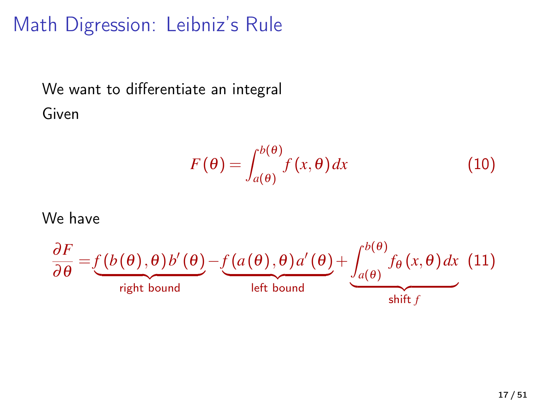# Math Digression: Leibniz's Rule

We want to differentiate an integral Given

$$
F(\theta) = \int_{a(\theta)}^{b(\theta)} f(x, \theta) dx
$$
 (10)

We have

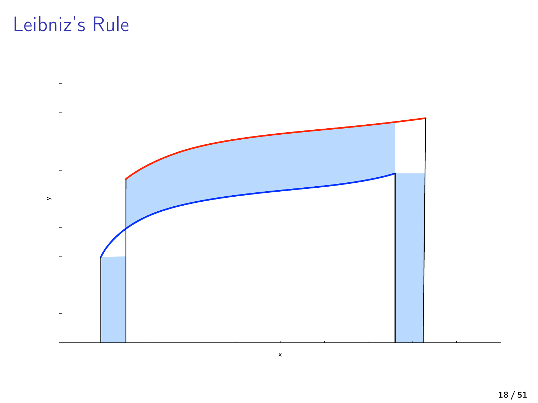# Leibniz's Rule

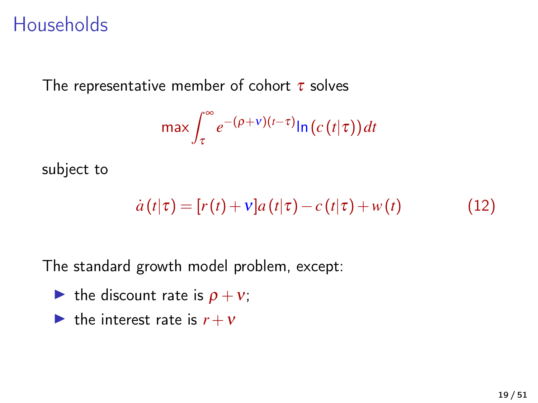### **Households**

The representative member of cohort  $\tau$  solves

$$
\max \int_{\tau}^{\infty} e^{-(\rho+v)(t-\tau)} \ln\left(c\left(t\right|\tau\right)\right) dt
$$

subject to

$$
\dot{a}(t|\tau) = [r(t) + v]a(t|\tau) - c(t|\tau) + w(t) \qquad (12)
$$

The standard growth model problem, except:

- ightharpoont rate is  $\rho + v$ ;
- If the interest rate is  $r + v$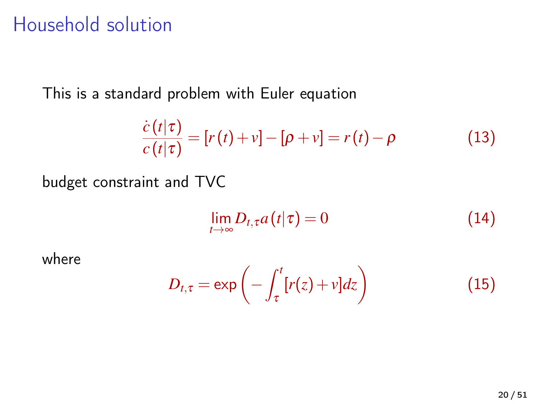#### Household solution

This is a standard problem with Euler equation

$$
\frac{\dot{c}(t|\tau)}{c(t|\tau)} = [r(t) + v] - [\rho + v] = r(t) - \rho \tag{13}
$$

budget constraint and TVC

$$
\lim_{t\to\infty} D_{t,\tau} a(t|\tau) = 0 \tag{14}
$$

where

$$
D_{t,\tau} = \exp\left(-\int_{\tau}^{t} [r(z) + v] dz\right)
$$
 (15)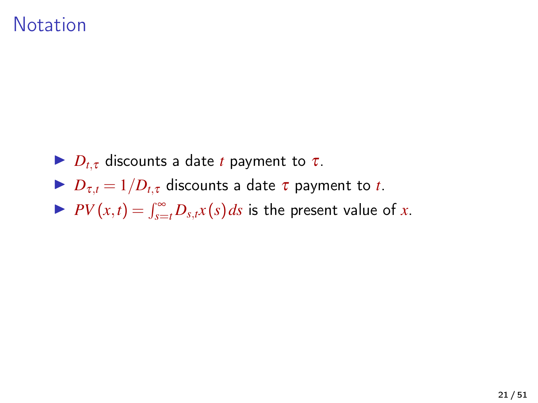#### **Notation**

- $\blacktriangleright$  *D*<sub>t*x*</sub> discounts a date *t* payment to  $\tau$ .
- $D_{\tau,t} = 1/D_{t,\tau}$  discounts a date  $\tau$  payment to *t*.
- $P(V(x,t) = \int_{s=t}^{\infty} D_{s,t}x(s) ds$  is the present value of *x*.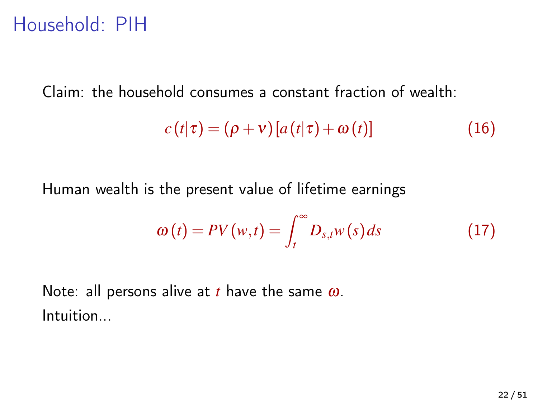### Household: PIH

Claim: the household consumes a constant fraction of wealth:

$$
c(t|\tau) = (\rho + v)[a(t|\tau) + \omega(t)] \qquad (16)
$$

Human wealth is the present value of lifetime earnings

$$
\omega(t) = PV(w,t) = \int_{t}^{\infty} D_{s,t} w(s) ds \qquad (17)
$$

Note: all persons alive at *t* have the same ω. Intuition...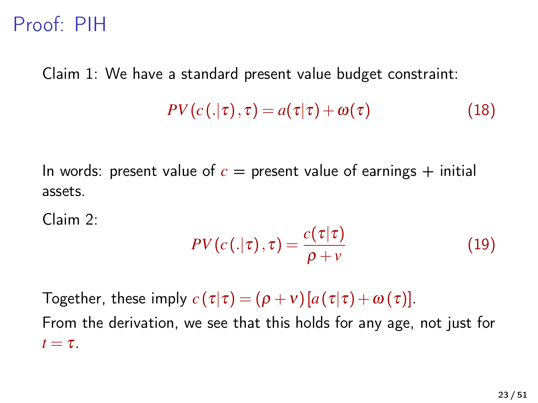### Proof: PIH

Claim 1: We have a standard present value budget constraint:

$$
PV(c(.|\tau), \tau) = a(\tau|\tau) + \omega(\tau)
$$
 (18)

In words: present value of  $c =$  present value of earnings  $+$  initial assets.

Claim 2:

<span id="page-22-0"></span>
$$
PV(c(.|\tau), \tau) = \frac{c(\tau|\tau)}{\rho + v} \tag{19}
$$

Together, these imply  $c(\tau|\tau) = (\rho + v)[a(\tau|\tau) + \omega(\tau)].$ 

From the derivation, we see that this holds for any age, not just for  $t = \tau$ .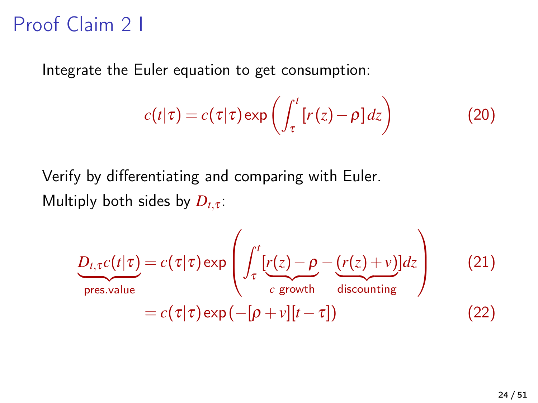# Proof Claim 2 I

Integrate the Euler equation to get consumption:

$$
c(t|\tau) = c(\tau|\tau) \exp\left(\int_{\tau}^{t} [r(z) - \rho] dz\right)
$$
 (20)

Verify by differentiating and comparing with Euler. Multiply both sides by  $D_{t,\tau}$ :

$$
\underbrace{D_{t,\tau}c(t|\tau)}_{\text{pres.value}} = c(\tau|\tau)\exp\left(\int_{\tau}^{t} \left[r(z) - \rho - \underbrace{(r(z) + v)}_{c \text{ growth}}\right]dz\right) \tag{21}
$$
\n
$$
= c(\tau|\tau)\exp\left(-[\rho + v][t - \tau]\right) \tag{22}
$$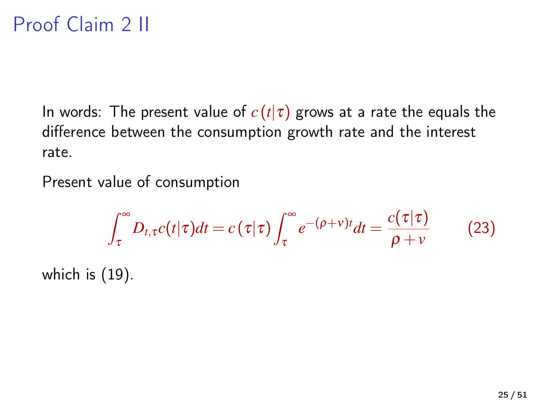# Proof Claim 2 II

In words: The present value of  $c(t|\tau)$  grows at a rate the equals the difference between the consumption growth rate and the interest rate.

Present value of consumption

$$
\int_{\tau}^{\infty} D_{t,\tau} c(t|\tau) dt = c(\tau|\tau) \int_{\tau}^{\infty} e^{-(\rho+\nu)t} dt = \frac{c(\tau|\tau)}{\rho+\nu}
$$
 (23)

which is [\(19\)](#page-22-0).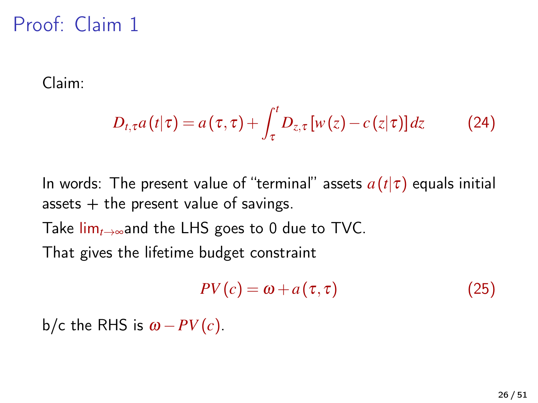# Proof: Claim 1

Claim:

$$
D_{t,\tau}a(t|\tau) = a(\tau,\tau) + \int_{\tau}^{t} D_{z,\tau}[w(z) - c(z|\tau)] dz \qquad (24)
$$

In words: The present value of "terminal" assets *a*(*t*|τ) equals initial assets  $+$  the present value of savings. Take lim*t*→∞and the LHS goes to 0 due to TVC. That gives the lifetime budget constraint

<span id="page-25-0"></span>
$$
PV(c) = \omega + a(\tau, \tau) \tag{25}
$$

b/c the RHS is  $\omega - PV(c)$ .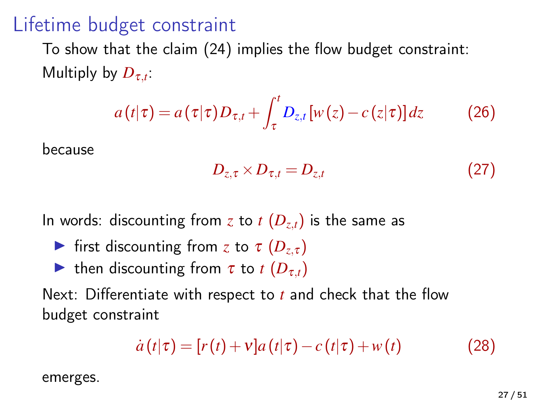### Lifetime budget constraint

To show that the claim [\(24\)](#page-25-0) implies the flow budget constraint: Multiply by  $D_{\tau,t}$ .

$$
a(t|\tau) = a(\tau|\tau)D_{\tau,t} + \int_{\tau}^{t} D_{z,t}[w(z) - c(z|\tau)]dz \qquad (26)
$$

because

<span id="page-26-0"></span>
$$
D_{z,\tau} \times D_{\tau,t} = D_{z,t} \tag{27}
$$

In words: discounting from *z* to *t*  $(D_{z,t})$  is the same as

- **If** first discounting from *z* to  $\tau$   $(D_{z\tau})$
- If then discounting from  $\tau$  to  $t$  ( $D_{\tau,t}$ )

Next: Differentiate with respect to *t* and check that the flow budget constraint

$$
\dot{a}(t|\tau) = [r(t) + v]a(t|\tau) - c(t|\tau) + w(t) \qquad (28)
$$

emerges.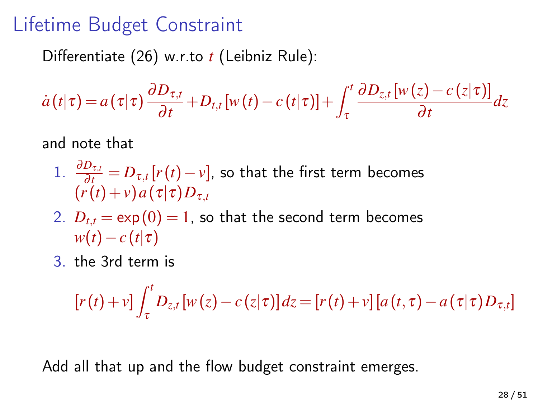## Lifetime Budget Constraint

Differentiate [\(26\)](#page-26-0) w.r.to *t* (Leibniz Rule):

$$
\dot{a}(t|\tau) = a(\tau|\tau) \frac{\partial D_{\tau,t}}{\partial t} + D_{t,t}[w(t) - c(t|\tau)] + \int_{\tau}^{t} \frac{\partial D_{z,t}[w(z) - c(z|\tau)]}{\partial t} dz
$$

and note that

- 1.  $\frac{\partial D_{\tau,t}}{\partial t} = D_{\tau,t}[r(t)-v]$ , so that the first term becomes  $(r(t) + v)a(\tau|\tau)D_{\tau,t}$
- 2.  $D_{t,t} = \exp(0) = 1$ , so that the second term becomes  $w(t) - c(t|\tau)$
- 3. the 3rd term is

$$
[r(t)+v]\int_{\tau}^{t}D_{z,t}[w(z)-c(z|\tau)]dz=[r(t)+v][a(t,\tau)-a(\tau|\tau)D_{\tau,t}]
$$

Add all that up and the flow budget constraint emerges.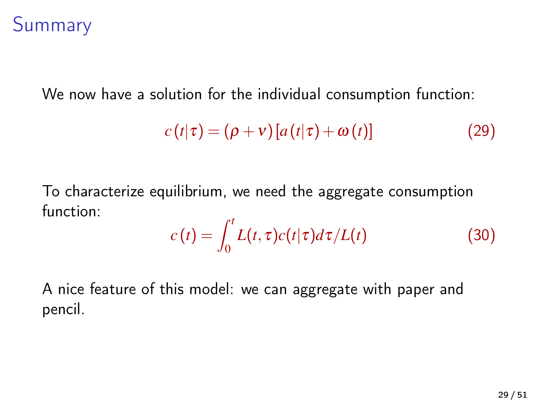#### Summary

We now have a solution for the individual consumption function:

$$
c(t|\tau) = (\rho + v) [a(t|\tau) + \omega(t)] \tag{29}
$$

To characterize equilibrium, we need the aggregate consumption function:

$$
c(t) = \int_0^t L(t, \tau) c(t|\tau) d\tau / L(t)
$$
\n(30)

A nice feature of this model: we can aggregate with paper and pencil.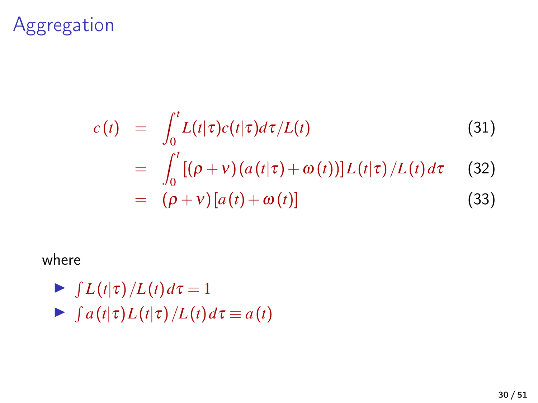#### Aggregation

$$
c(t) = \int_0^t L(t|\tau)c(t|\tau)d\tau/L(t)
$$
(31)  

$$
= \int_0^t [(\rho + v)(a(t|\tau) + \omega(t))]L(t|\tau)/L(t)d\tau
$$
(32)

$$
= (\rho + v) [a(t) + \omega(t)] \tag{33}
$$

#### where

- $\blacktriangleright$   $\int L(t|\tau)/L(t) d\tau = 1$
- $\blacktriangleright$   $\int a(t|\tau)L(t|\tau)/L(t) d\tau \equiv a(t)$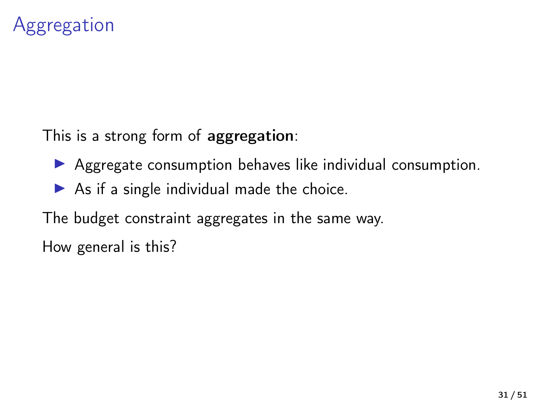### Aggregation

This is a strong form of aggregation:

- $\triangleright$  Aggregate consumption behaves like individual consumption.
- $\triangleright$  As if a single individual made the choice.

The budget constraint aggregates in the same way.

How general is this?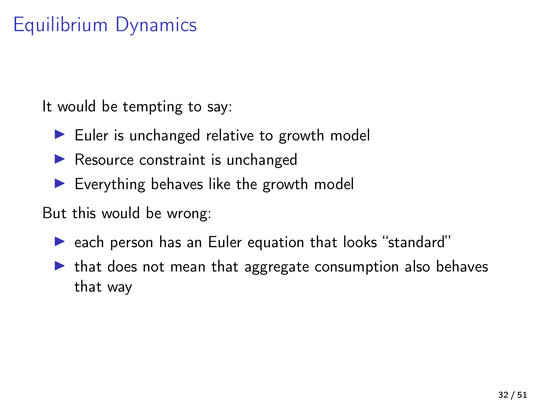# Equilibrium Dynamics

It would be tempting to say:

- $\blacktriangleright$  Euler is unchanged relative to growth model
- $\blacktriangleright$  Resource constraint is unchanged
- $\blacktriangleright$  Everything behaves like the growth model

But this would be wrong:

- $\triangleright$  each person has an Euler equation that looks "standard"
- $\triangleright$  that does not mean that aggregate consumption also behaves that way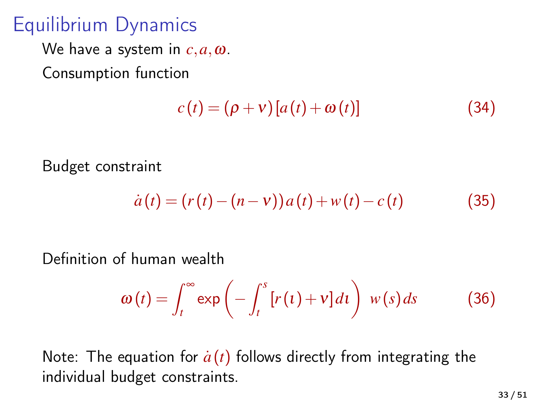# Equilibrium Dynamics

We have a system in *c*,*a*,ω.

Consumption function

$$
c(t) = (\rho + v) [a(t) + \omega(t)] \tag{34}
$$

Budget constraint

$$
\dot{a}(t) = (r(t) - (n - v))a(t) + w(t) - c(t) \tag{35}
$$

Definition of human wealth

$$
\omega(t) = \int_{t}^{\infty} \exp\left(-\int_{t}^{s} [r(t) + v] dt\right) w(s) ds \qquad (36)
$$

Note: The equation for  $\dot{a}(t)$  follows directly from integrating the individual budget constraints.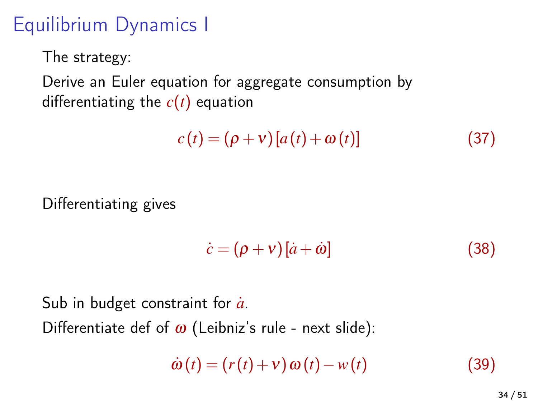# Equilibrium Dynamics I

The strategy:

Derive an Euler equation for aggregate consumption by differentiating the  $c(t)$  equation

$$
c(t) = (\rho + v) [a(t) + \omega(t)] \tag{37}
$$

Differentiating gives

$$
\dot{c} = (\rho + v)[\dot{a} + \dot{\omega}] \tag{38}
$$

Sub in budget constraint for  $\dot{a}$ . Differentiate def of  $\omega$  (Leibniz's rule - next slide):

$$
\dot{\omega}(t) = (r(t) + v) \omega(t) - w(t) \tag{39}
$$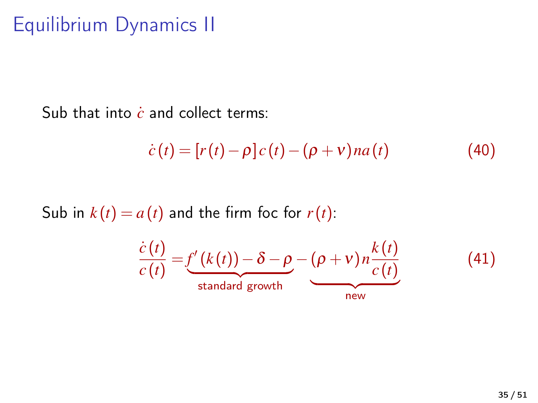# Equilibrium Dynamics II

Sub that into *c* and collect terms:

$$
\dot{c}(t) = [r(t) - \rho] c(t) - (\rho + v) na(t)
$$
\n(40)

Sub in  $k(t) = a(t)$  and the firm foc for  $r(t)$ :

$$
\frac{\dot{c}(t)}{c(t)} = \underbrace{f'(k(t)) - \delta - \rho}_{\text{standard growth}} - \underbrace{(\rho + v)n\frac{k(t)}{c(t)}}_{\text{new}}
$$
 (41)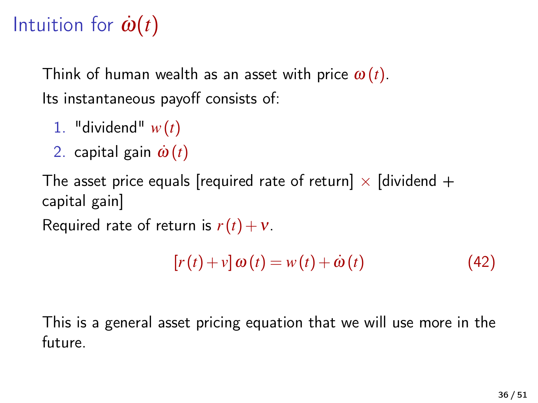# Intuition for  $\dot{\omega}(t)$

Think of human wealth as an asset with price  $\omega(t)$ . Its instantaneous payoff consists of:

- 1. "dividend" *w*(*t*)
- 2. capital gain  $\dot{\omega}(t)$

The asset price equals [required rate of return]  $\times$  [dividend + capital gain]

Required rate of return is  $r(t) + v$ .

$$
[r(t) + v] \omega(t) = w(t) + \dot{\omega}(t)
$$
\n(42)

This is a general asset pricing equation that we will use more in the future.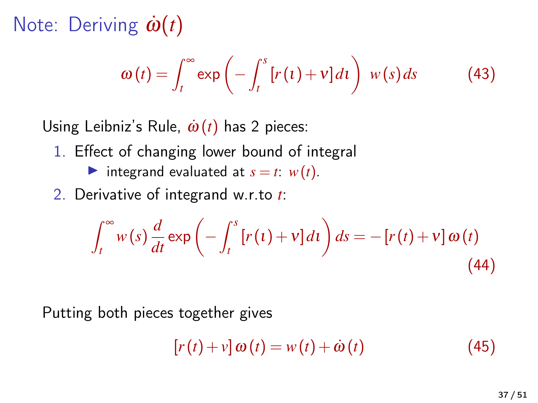Note: Deriving  $\dot{\omega}(t)$ 

$$
\omega(t) = \int_{t}^{\infty} \exp\left(-\int_{t}^{s} [r(t) + v] dt\right) w(s) ds \qquad (43)
$$

Using Leibniz's Rule,  $\dot{\omega}(t)$  has 2 pieces:

- 1. Effect of changing lower bound of integral
	- integrand evaluated at  $s = t$ :  $w(t)$ .

2. Derivative of integrand w.r.to *t*:

$$
\int_{t}^{\infty} w(s) \frac{d}{dt} \exp\left(-\int_{t}^{s} \left[r(t) + v\right] dt\right) ds = -\left[r(t) + v\right] \omega(t)
$$
\n(44)

Putting both pieces together gives

$$
[r(t) + v] \omega(t) = w(t) + \dot{\omega}(t)
$$
\n(45)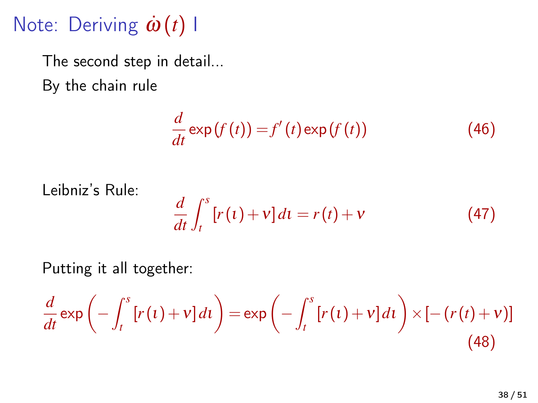Note: Deriving  $\dot{\omega}(t)$  Ι

The second step in detail... By the chain rule

$$
\frac{d}{dt}\exp\left(f\left(t\right)\right) = f'\left(t\right)\exp\left(f\left(t\right)\right) \tag{46}
$$

Leibniz's Rule:

$$
\frac{d}{dt} \int_{t}^{s} \left[ r(t) + v \right] dt = r(t) + v \tag{47}
$$

Putting it all together:

$$
\frac{d}{dt}\exp\left(-\int_t^s [r(t)+v]dt\right) = \exp\left(-\int_t^s [r(t)+v]dt\right) \times \left[-\left(r(t)+v\right)\right]
$$
\n(48)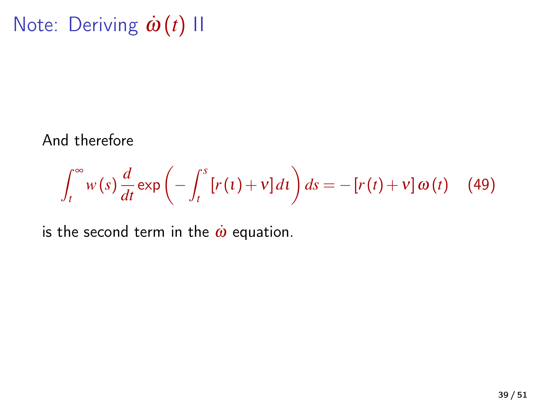Note: Deriving  $\dot{\omega}(t)$  ΙΙ

And therefore

$$
\int_{t}^{\infty} w(s) \frac{d}{dt} \exp\left(-\int_{t}^{s} \left[r(t) + v\right] dt\right) ds = -\left[r(t) + v\right] \omega(t) \quad (49)
$$

is the second term in the  $\dot{\omega}$  equation.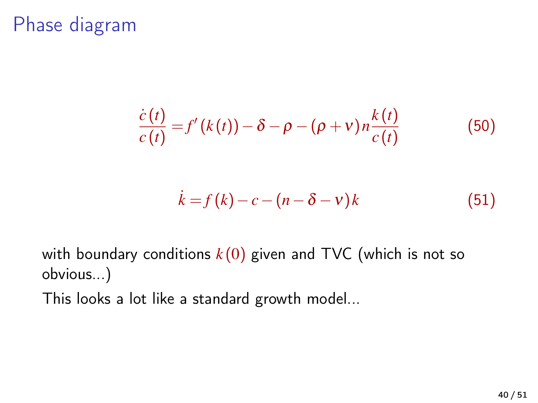### Phase diagram

$$
\frac{\dot{c}(t)}{c(t)} = f'(k(t)) - \delta - \rho - (\rho + v) n \frac{k(t)}{c(t)}
$$
(50)

$$
\dot{k} = f(k) - c - (n - \delta - v)k \tag{51}
$$

with boundary conditions  $k(0)$  given and TVC (which is not so obvious...)

This looks a lot like a standard growth model...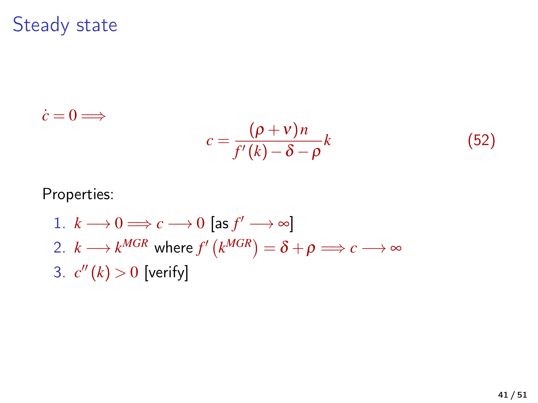Steady state

$$
\dot{c} = 0 \Longrightarrow
$$
  

$$
c = \frac{(\rho + v)n}{f'(k) - \delta - \rho}k
$$
 (52)

Properties:

1. 
$$
k \rightarrow 0 \Longrightarrow c \rightarrow 0
$$
 [as  $f' \rightarrow \infty$ ]  
\n2.  $k \rightarrow k^{MGR}$  where  $f'(k^{MGR}) = \delta + \rho \Longrightarrow c \longrightarrow \infty$   
\n3.  $c''(k) > 0$  [verify]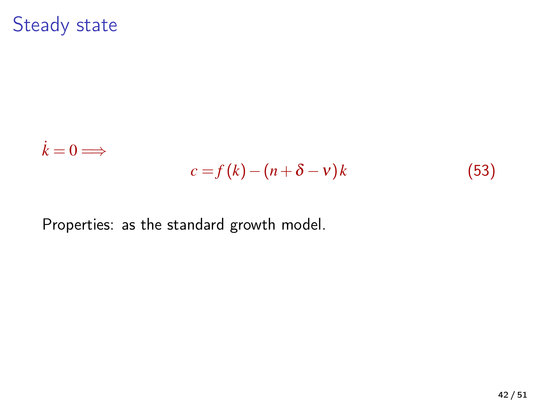Steady state

$$
\dot{k} = 0 \Longrightarrow
$$
  

$$
c = f(k) - (n + \delta - v)k
$$
 (53)

Properties: as the standard growth model.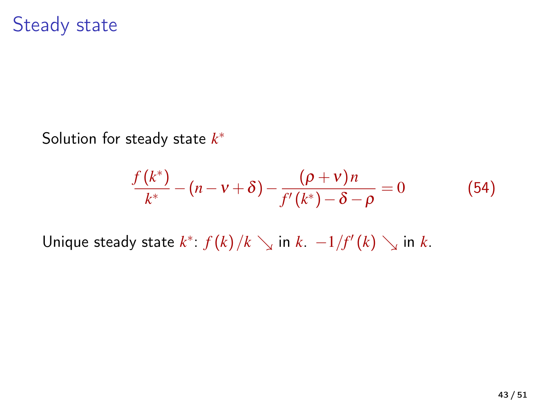#### Steady state

Solution for steady state *k* ∗

$$
\frac{f(k^*)}{k^*} - (n - \nu + \delta) - \frac{(\rho + \nu)n}{f'(k^*) - \delta - \rho} = 0
$$
 (54)

Unique steady state  $k^*$ :  $f(k)/k \searrow$  in  $k$ .  $-1/f'(k) \searrow$  in  $k$ .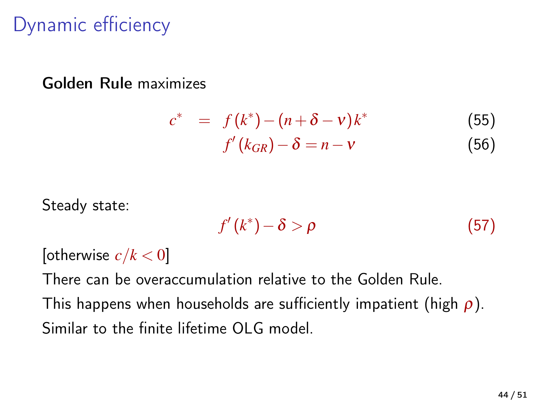# Dynamic efficiency

#### Golden Rule maximizes

$$
c^* = f(k^*) - (n + \delta - v)k^*
$$
 (55)  

$$
f'(k_{GR}) - \delta = n - v
$$
 (56)

Steady state:

$$
f'(k^*) - \delta > \rho \tag{57}
$$

[otherwise  $c/k < 0$ ]

There can be overaccumulation relative to the Golden Rule.

This happens when households are sufficiently impatient (high  $\rho$ ). Similar to the finite lifetime OLG model.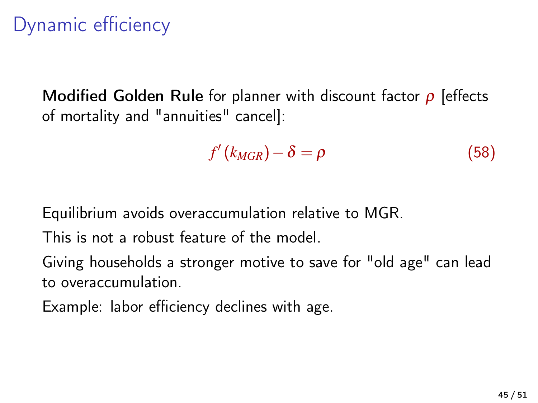# Dynamic efficiency

Modified Golden Rule for planner with discount factor  $\rho$  [effects of mortality and "annuities" cancel]:

$$
f'(k_{MGR}) - \delta = \rho \tag{58}
$$

Equilibrium avoids overaccumulation relative to MGR.

This is not a robust feature of the model.

Giving households a stronger motive to save for "old age" can lead to overaccumulation.

Example: labor efficiency declines with age.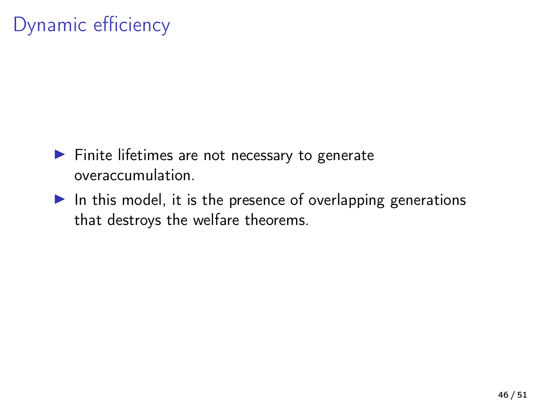# Dynamic efficiency

- $\blacktriangleright$  Finite lifetimes are not necessary to generate overaccumulation.
- $\blacktriangleright$  In this model, it is the presence of overlapping generations that destroys the welfare theorems.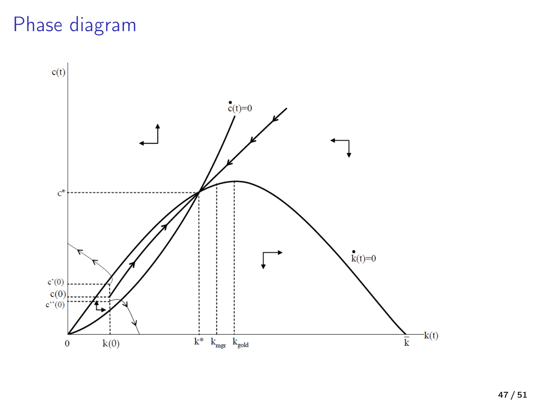# Phase diagram

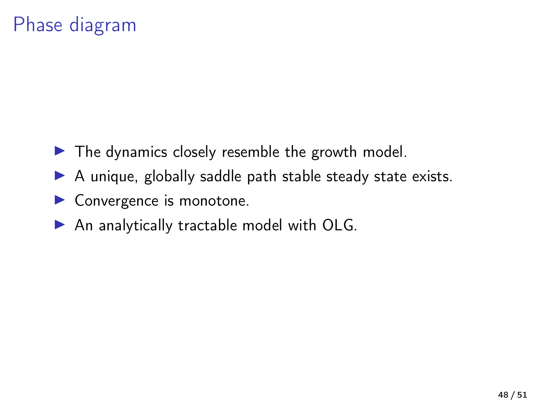# Phase diagram

- $\blacktriangleright$  The dynamics closely resemble the growth model.
- $\triangleright$  A unique, globally saddle path stable steady state exists.
- $\blacktriangleright$  Convergence is monotone.
- $\blacktriangleright$  An analytically tractable model with OLG.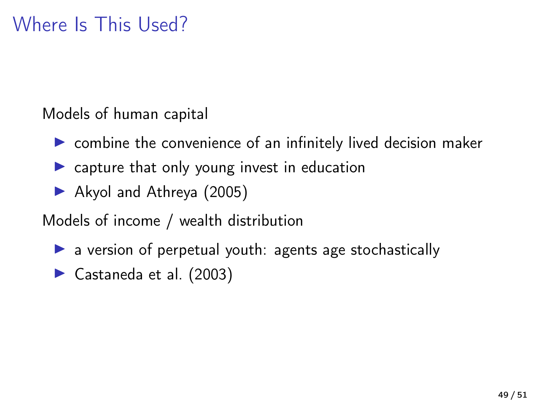# Where Is This Used?

Models of human capital

- $\triangleright$  combine the convenience of an infinitely lived decision maker
- $\triangleright$  capture that only young invest in education
- ▶ [Akyol and Athreya \(2005\)](#page-50-0)

Models of income / wealth distribution

- $\blacktriangleright$  a version of perpetual youth: agents age stochastically
- $\blacktriangleright$  [Castaneda et al. \(2003\)](#page-50-1)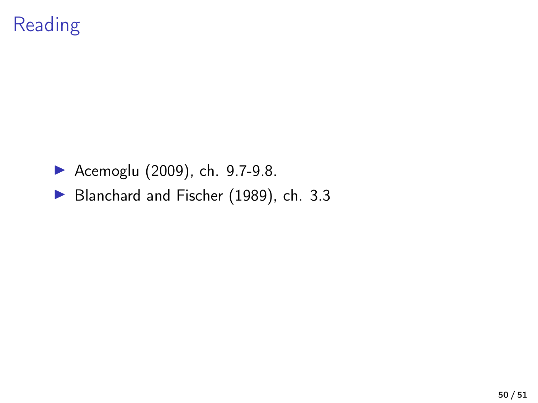# Reading

- ▶ [Acemoglu \(2009\)](#page-50-2), ch. 9.7-9.8.
- [Blanchard and Fischer \(1989\)](#page-50-3), ch. 3.3